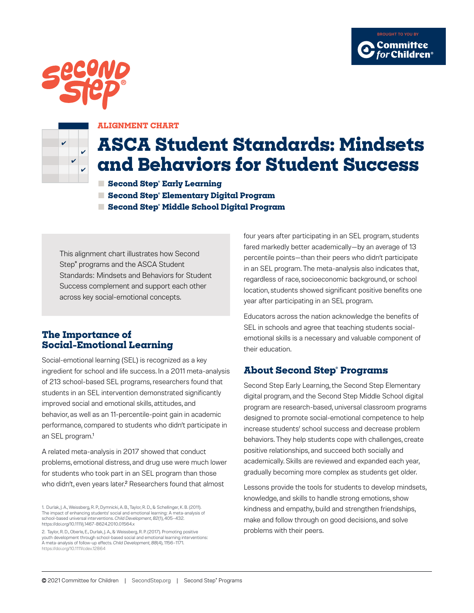



#### **ALIGNMENT CHART**

# **ASCA Student Standards: Mindsets and Behaviors for Student Success**

- **■ Second Step® Early Learning**
- **■ Second Step® Elementary Digital Program**
- **■ Second Step® Middle School Digital Program**

This alignment chart illustrates how Second Step® programs and the ASCA Student Standards: Mindsets and Behaviors for Student Success complement and support each other across key social-emotional concepts.

#### **The Importance of Social-Emotional Learning**

Social-emotional learning (SEL) is recognized as a key ingredient for school and life success. In a 2011 meta-analysis of 213 school-based SEL programs, researchers found that students in an SEL intervention demonstrated significantly improved social and emotional skills, attitudes, and behavior, as well as an 11-percentile-point gain in academic performance, compared to students who didn't participate in an SEL program.<sup>1</sup>

A related meta-analysis in 2017 showed that conduct problems, emotional distress, and drug use were much lower for students who took part in an SEL program than those who didn't, even years later.<sup>2</sup> Researchers found that almost

four years after participating in an SEL program, students fared markedly better academically—by an average of 13 percentile points—than their peers who didn't participate in an SEL program. The meta-analysis also indicates that, regardless of race, socioeconomic background, or school location, students showed significant positive benefits one year after participating in an SEL program.

Educators across the nation acknowledge the benefits of SEL in schools and agree that teaching students socialemotional skills is a necessary and valuable component of their education.

### **About Second Step® Programs**

Second Step Early Learning, the Second Step Elementary digital program, and the Second Step Middle School digital program are research-based, universal classroom programs designed to promote social-emotional competence to help increase students' school success and decrease problem behaviors. They help students cope with challenges, create positive relationships, and succeed both socially and academically. Skills are reviewed and expanded each year, gradually becoming more complex as students get older.

Lessons provide the tools for students to develop mindsets, knowledge, and skills to handle strong emotions, show kindness and empathy, build and strengthen friendships, make and follow through on good decisions, and solve problems with their peers.

<sup>1.</sup> Durlak, J. A., Weissberg, R. P., Dymnicki, A. B., Taylor, R. D., & Schellinger, K. B. (2011). The impact of enhancing students' social and emotional learning: A meta-analysis of school-based universal interventions. *Child Development, 82*(1), 405–432. <https://doi.org/10.1111/j.1467-8624.2010.01564.x>

<sup>2.</sup> Taylor, R. D., Oberle, E., Durlak, J. A., & Weissberg, R. P. (2017). Promoting positive youth development through school-based social and emotional learning interventions: A meta-analysis of follow-up effects. *Child Development, 88*(4), 1156–1171. <https://doi.org/10.1111/cdev.12864>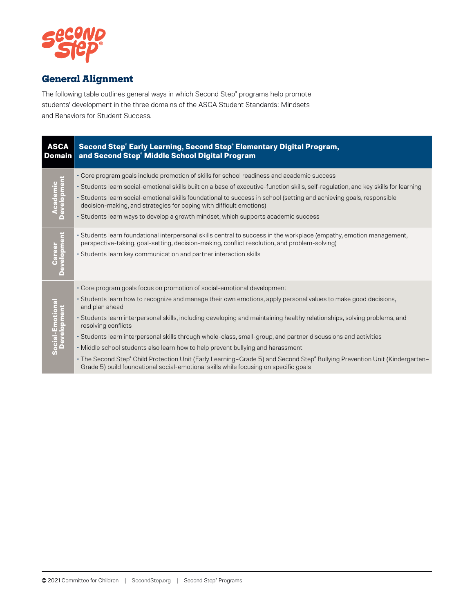

### **General Alignment**

The following table outlines general ways in which Second Step® programs help promote students' development in the three domains of the ASCA Student Standards: Mindsets and Behaviors for Student Success.

| <b>ASCA</b><br><b>Domain</b>    | Second Step® Early Learning, Second Step® Elementary Digital Program,<br>and Second Step® Middle School Digital Program                                                                                                                                                                                                                                                                                                                                                                                                                                                                                                                                                                                                                                                                   |
|---------------------------------|-------------------------------------------------------------------------------------------------------------------------------------------------------------------------------------------------------------------------------------------------------------------------------------------------------------------------------------------------------------------------------------------------------------------------------------------------------------------------------------------------------------------------------------------------------------------------------------------------------------------------------------------------------------------------------------------------------------------------------------------------------------------------------------------|
| Academic<br>Development         | • Core program goals include promotion of skills for school readiness and academic success<br>· Students learn social-emotional skills built on a base of executive-function skills, self-regulation, and key skills for learning<br>• Students learn social-emotional skills foundational to success in school (setting and achieving goals, responsible<br>decision-making, and strategies for coping with difficult emotions)<br>• Students learn ways to develop a growth mindset, which supports academic success                                                                                                                                                                                                                                                                    |
| Career<br>Development           | . Students learn foundational interpersonal skills central to success in the workplace (empathy, emotion management,<br>perspective-taking, goal-setting, decision-making, conflict resolution, and problem-solving)<br>• Students learn key communication and partner interaction skills                                                                                                                                                                                                                                                                                                                                                                                                                                                                                                 |
| Social-Emotional<br>Development | • Core program goals focus on promotion of social-emotional development<br>. Students learn how to recognize and manage their own emotions, apply personal values to make good decisions,<br>and plan ahead<br>• Students learn interpersonal skills, including developing and maintaining healthy relationships, solving problems, and<br>resolving conflicts<br>• Students learn interpersonal skills through whole-class, small-group, and partner discussions and activities<br>• Middle school students also learn how to help prevent bullying and harassment<br>. The Second Step® Child Protection Unit (Early Learning-Grade 5) and Second Step® Bullying Prevention Unit (Kindergarten-<br>Grade 5) build foundational social-emotional skills while focusing on specific goals |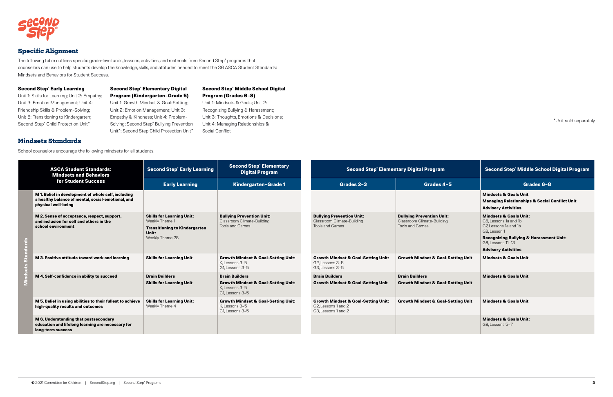

### **Specific Alignment**

The following table outlines specific grade-level units, lessons, activities, and materials from Second Step® programs that counselors can use to help students develop the knowledge, skills, and attitudes needed to meet the 36 ASCA Student Standards: Mindsets and Behaviors for Student Success.

Unit 1: Skills for Learning; Unit 2: Empathy; Unit 3: Emotion Management; Unit 4: Friendship Skills & Problem-Solving; Unit 5: Transitioning to Kindergarten; Second Step® Child Protection Unit<sup>\*</sup>

\*Unit sold separately

#### **Second Step® Early Learning**

**Second Step® Elementary Digital Program (Kindergarten–Grade 5)** Unit 1: Growth Mindset & Goal-Setting; Unit 2: Emotion Management; Unit 3: Empathy & Kindness; Unit 4: Problem-Solving; Second Step® Bullying Prevention Unit\*; Second Step Child Protection Unit\*

#### **Second Step® Middle School Digital Program (Grades 6–8)**

Unit 1: Mindsets & Goals; Unit 2: Recognizing Bullying & Harassment; Unit 3: Thoughts, Emotions & Decisions; Unit 4: Managing Relationships & Social Conflict

| <b>ASCA Student Standards:</b><br><b>Mindsets and Behaviors</b>                                                                  | <b>Second Step® Early Learning</b>                                                                                     | <b>Second Step® Elementary</b><br><b>Digital Program</b>                                                     | <b>Second Step® Elementary Digital Program</b>                                               |                                                                                   | <b>Second Step<sup>®</sup> Middle School Digital Program</b>                                                                                                                                                 |
|----------------------------------------------------------------------------------------------------------------------------------|------------------------------------------------------------------------------------------------------------------------|--------------------------------------------------------------------------------------------------------------|----------------------------------------------------------------------------------------------|-----------------------------------------------------------------------------------|--------------------------------------------------------------------------------------------------------------------------------------------------------------------------------------------------------------|
| for Student Success                                                                                                              | <b>Early Learning</b>                                                                                                  | Kindergarten-Grade 1                                                                                         | Grades 2-3                                                                                   | Grades 4-5                                                                        | Grades 6-8                                                                                                                                                                                                   |
| M 1. Belief in development of whole self, including<br>a healthy balance of mental, social-emotional, and<br>physical well-being |                                                                                                                        |                                                                                                              |                                                                                              |                                                                                   | <b>Mindsets &amp; Goals Unit</b><br><b>Managing Relationships &amp; Social Conflict Unit</b><br><b>Advisory Activities</b>                                                                                   |
| M 2. Sense of acceptance, respect, support,<br>and inclusion for self and others in the<br>school environment                    | <b>Skills for Learning Unit:</b><br>Weekly Theme 1<br><b>Transitioning to Kindergarten</b><br>Unit:<br>Weekly Theme 28 | <b>Bullying Prevention Unit:</b><br>Classroom Climate-Building<br>Tools and Games                            | <b>Bullying Prevention Unit:</b><br>Classroom Climate-Building<br><b>Tools and Games</b>     | <b>Bullying Prevention Unit:</b><br>Classroom Climate-Building<br>Tools and Games | <b>Mindsets &amp; Goals Unit:</b><br>G6. Lessons 1a and 1b<br>G7. Lessons 1a and 1b<br>G8, Lesson 1<br><b>Recognizing Bullying &amp; Harassment Unit:</b><br>G8. Lessons 11-13<br><b>Advisory Activities</b> |
| M 3. Positive attitude toward work and learning                                                                                  | <b>Skills for Learning Unit</b>                                                                                        | <b>Growth Mindset &amp; Goal-Setting Unit:</b><br>K. Lessons 3-5<br>G1, Lessons 3-5                          | <b>Growth Mindset &amp; Goal-Setting Unit:</b><br>G2. Lessons 3-5<br>G3. Lessons 3-5         | <b>Growth Mindset &amp; Goal-Setting Unit</b>                                     | <b>Mindsets &amp; Goals Unit</b>                                                                                                                                                                             |
| M 4. Self-confidence in ability to succeed                                                                                       | <b>Brain Builders</b><br><b>Skills for Learning Unit</b>                                                               | <b>Brain Builders</b><br><b>Growth Mindset &amp; Goal-Setting Unit:</b><br>K, Lessons 3-5<br>G1, Lessons 3-5 | <b>Brain Builders</b><br><b>Growth Mindset &amp; Goal-Setting Unit</b>                       | <b>Brain Builders</b><br><b>Growth Mindset &amp; Goal-Setting Unit</b>            | <b>Mindsets &amp; Goals Unit</b>                                                                                                                                                                             |
| M 5. Belief in using abilities to their fullest to achieve<br>high-quality results and outcomes                                  | <b>Skills for Learning Unit:</b><br>Weekly Theme 4                                                                     | <b>Growth Mindset &amp; Goal-Setting Unit:</b><br>K. Lessons 3-5<br>G1, Lessons 3-5                          | <b>Growth Mindset &amp; Goal-Setting Unit:</b><br>G2. Lessons 1 and 2<br>G3, Lessons 1 and 2 | <b>Growth Mindset &amp; Goal-Setting Unit</b>                                     | <b>Mindsets &amp; Goals Unit</b>                                                                                                                                                                             |
| M 6. Understanding that postsecondary<br>education and lifelong learning are necessary for<br>long-term success                  |                                                                                                                        |                                                                                                              |                                                                                              |                                                                                   | <b>Mindsets &amp; Goals Unit:</b><br>G8, Lessons 5-7                                                                                                                                                         |

#### **Mindsets Standards**

School counselors encourage the following mindsets for all students.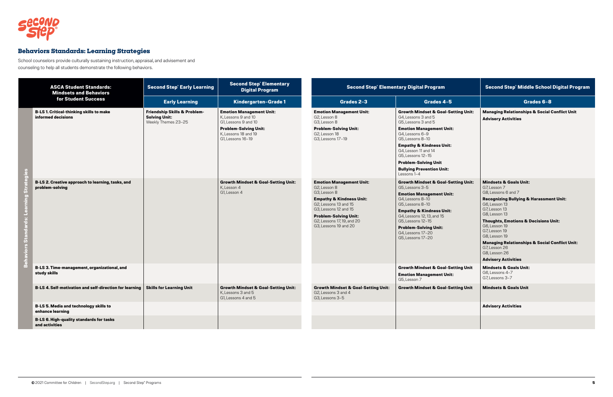

| <b>ASCA Student Standards:</b><br><b>Mindsets and Behaviors</b><br>for Student Success |                                                                                    | <b>Second Step® Early Learning</b>                                                     | <b>Second Step<sup>®</sup> Elementary</b><br><b>Digital Program</b>                                                                                         |                                                                                                                                                                                                                                                 | <b>Second Step® Elementary Digital Program</b>                                                                                                                                                                                                                                                                                               | <b>Second Step® Middle School Digital Program</b>                                                                                                                                                                                                                                                                                                                                                                    |  |
|----------------------------------------------------------------------------------------|------------------------------------------------------------------------------------|----------------------------------------------------------------------------------------|-------------------------------------------------------------------------------------------------------------------------------------------------------------|-------------------------------------------------------------------------------------------------------------------------------------------------------------------------------------------------------------------------------------------------|----------------------------------------------------------------------------------------------------------------------------------------------------------------------------------------------------------------------------------------------------------------------------------------------------------------------------------------------|----------------------------------------------------------------------------------------------------------------------------------------------------------------------------------------------------------------------------------------------------------------------------------------------------------------------------------------------------------------------------------------------------------------------|--|
|                                                                                        |                                                                                    | <b>Early Learning</b>                                                                  | Kindergarten-Grade 1                                                                                                                                        | Grades 2-3                                                                                                                                                                                                                                      | Grades 4-5                                                                                                                                                                                                                                                                                                                                   | Grades 6-8                                                                                                                                                                                                                                                                                                                                                                                                           |  |
|                                                                                        | <b>B-LS 1. Critical-thinking skills to make</b><br>informed decisions              | <b>Friendship Skills &amp; Problem-</b><br><b>Solving Unit:</b><br>Weekly Themes 23-25 | <b>Emotion Management Unit:</b><br>K. Lessons 9 and 10<br>G1, Lessons 9 and 10<br><b>Problem-Solving Unit:</b><br>K. Lessons 18 and 19<br>G1. Lessons 16-19 | <b>Emotion Management Unit:</b><br>G2, Lesson 8<br>G3, Lesson 8<br><b>Problem-Solving Unit:</b><br>G2, Lesson 18<br>G3, Lessons 17-19                                                                                                           | <b>Growth Mindset &amp; Goal-Setting Unit:</b><br>G4. Lessons 3 and 5<br>G5, Lessons 3 and 5<br><b>Emotion Management Unit:</b><br>G4. Lessons 6-9<br>G5, Lessons 8-10<br><b>Empathy &amp; Kindness Unit:</b><br>G4, Lesson 11 and 14<br>G5, Lessons 12-15<br><b>Problem-Solving Unit</b><br><b>Bullying Prevention Unit:</b><br>Lessons 1-4 | <b>Managing Relationships &amp; Social Conflict Unit</b><br><b>Advisory Activities</b>                                                                                                                                                                                                                                                                                                                               |  |
|                                                                                        | B-LS 2. Creative approach to learning, tasks, and<br>problem-solving               |                                                                                        | <b>Growth Mindset &amp; Goal-Setting Unit:</b><br>K, Lesson 4<br>G1, Lesson 4                                                                               | <b>Emotion Management Unit:</b><br>G2, Lesson 8<br>G3, Lesson 8<br><b>Empathy &amp; Kindness Unit:</b><br>G2. Lessons 13 and 15<br>G3. Lessons 12 and 15<br><b>Problem-Solving Unit:</b><br>G2, Lessons 17, 19, and 20<br>G3. Lessons 19 and 20 | <b>Growth Mindset &amp; Goal-Setting Unit:</b><br>G5, Lessons 3-5<br><b>Emotion Management Unit:</b><br>G4, Lessons 8-10<br>G5, Lessons 8-10<br><b>Empathy &amp; Kindness Unit:</b><br>G4, Lessons 12, 13, and 15<br>G5, Lessons 12-15<br><b>Problem-Solving Unit:</b><br>G4, Lessons 17-20<br>G5, Lessons 17-20                             | <b>Mindsets &amp; Goals Unit:</b><br>G7. Lesson 7<br>G8, Lessons 6 and 7<br><b>Recognizing Bullying &amp; Harassment Unit:</b><br>G6, Lesson 13<br>G7. Lesson 13<br>G8, Lesson 13<br><b>Thoughts, Emotions &amp; Decisions Unit:</b><br>G6, Lesson 19<br>G7, Lesson 19<br>G8, Lesson 19<br><b>Managing Relationships &amp; Social Conflict Unit:</b><br>G7, Lesson 26<br>G8, Lesson 26<br><b>Advisory Activities</b> |  |
|                                                                                        | B-LS 3. Time-management, organizational, and<br>study skills                       |                                                                                        |                                                                                                                                                             |                                                                                                                                                                                                                                                 | <b>Growth Mindset &amp; Goal-Setting Unit</b><br><b>Emotion Management Unit:</b><br>G5, Lesson 7                                                                                                                                                                                                                                             | <b>Mindsets &amp; Goals Unit:</b><br>G6, Lessons 4-7<br>G7, Lessons 3-7                                                                                                                                                                                                                                                                                                                                              |  |
|                                                                                        | B-LS 4. Self-motivation and self-direction for learning   Skills for Learning Unit |                                                                                        | <b>Growth Mindset &amp; Goal-Setting Unit:</b><br>K. Lessons 3 and 5<br>G1. Lessons 4 and 5                                                                 | <b>Growth Mindset &amp; Goal-Setting Unit:</b><br>G2. Lessons 3 and 4<br>G3. Lessons 3-5                                                                                                                                                        | <b>Growth Mindset &amp; Goal-Setting Unit</b>                                                                                                                                                                                                                                                                                                | <b>Mindsets &amp; Goals Unit</b>                                                                                                                                                                                                                                                                                                                                                                                     |  |
|                                                                                        | <b>B-LS 5. Media and technology skills to</b><br>enhance learning                  |                                                                                        |                                                                                                                                                             |                                                                                                                                                                                                                                                 |                                                                                                                                                                                                                                                                                                                                              | <b>Advisory Activities</b>                                                                                                                                                                                                                                                                                                                                                                                           |  |
|                                                                                        | <b>B-LS 6. High-quality standards for tasks</b><br>and activities                  |                                                                                        |                                                                                                                                                             |                                                                                                                                                                                                                                                 |                                                                                                                                                                                                                                                                                                                                              |                                                                                                                                                                                                                                                                                                                                                                                                                      |  |

### **Behaviors Standards: Learning Strategies**

School counselors provide culturally sustaining instruction, appraisal, and advisement and counseling to help all students demonstrate the following behaviors.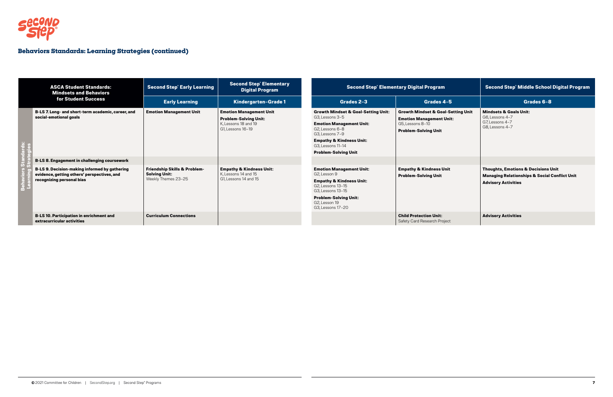

| <b>ASCA Student Standards:</b><br><b>Mindsets and Behaviors</b>                                                                  | <b>Second Step<sup>®</sup> Early Learning</b>                                          | <b>Second Step® Elementary</b><br><b>Digital Program</b>                                                    |                                                                                                                                                                                                                                       | <b>Second Step® Elementary Digital Program</b>                                                                                      |  |
|----------------------------------------------------------------------------------------------------------------------------------|----------------------------------------------------------------------------------------|-------------------------------------------------------------------------------------------------------------|---------------------------------------------------------------------------------------------------------------------------------------------------------------------------------------------------------------------------------------|-------------------------------------------------------------------------------------------------------------------------------------|--|
| for Student Success                                                                                                              | <b>Early Learning</b>                                                                  | <b>Kindergarten-Grade 1</b>                                                                                 | Grades 2-3                                                                                                                                                                                                                            | Grades 4-5                                                                                                                          |  |
| B-LS 7. Long- and short-term academic, career, and<br>social-emotional goals                                                     | <b>Emotion Management Unit</b>                                                         | <b>Emotion Management Unit</b><br><b>Problem-Solving Unit:</b><br>K. Lessons 18 and 19<br>G1, Lessons 16-19 | <b>Growth Mindset &amp; Goal-Setting Unit:</b><br>G3. Lessons 3-5<br><b>Emotion Management Unit:</b><br>G2. Lessons 6-8<br>G3, Lessons 7-9<br><b>Empathy &amp; Kindness Unit:</b><br>G3, Lessons 11-14<br><b>Problem-Solving Unit</b> | <b>Growth Mindset &amp; Goal-Setting Unit</b><br><b>Emotion Management Unit:</b><br>G5, Lessons 8-10<br><b>Problem-Solving Unit</b> |  |
| <b>B-LS 8. Engagement in challenging coursework</b>                                                                              |                                                                                        |                                                                                                             |                                                                                                                                                                                                                                       |                                                                                                                                     |  |
| <b>B-LS 9. Decision-making informed by gathering</b><br>evidence, getting others' perspectives, and<br>recognizing personal bias | <b>Friendship Skills &amp; Problem-</b><br><b>Solving Unit:</b><br>Weekly Themes 23-25 | <b>Empathy &amp; Kindness Unit:</b><br>K. Lessons 14 and 15<br>G1. Lessons 14 and 15                        | <b>Emotion Management Unit:</b><br>G2, Lesson 9<br><b>Empathy &amp; Kindness Unit:</b><br>G2, Lessons 13-15<br>G3, Lessons 13-15<br><b>Problem-Solving Unit:</b><br>G2, Lesson 19<br>G3, Lessons 17-20                                | <b>Empathy &amp; Kindness Unit</b><br><b>Problem-Solving Unit</b>                                                                   |  |
| <b>B-LS 10. Participation in enrichment and</b><br>extracurricular activities                                                    | <b>Curriculum Connections</b>                                                          |                                                                                                             |                                                                                                                                                                                                                                       | <b>Child Protection Unit:</b><br>Safety Card Research Project                                                                       |  |

# **Behaviors Standards: Learning Strategies (continued)**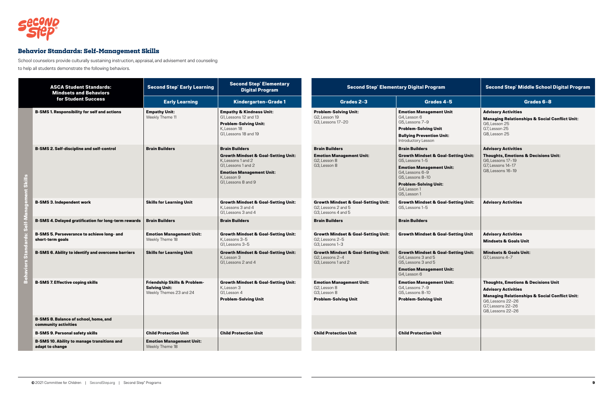

| <b>ASCA Student Standards:</b><br><b>Mindsets and Behaviors</b><br>for Student Success |                                                                       | <b>Second Step® Early Learning</b>                                                         | <b>Second Step<sup>®</sup> Elementary</b><br><b>Digital Program</b>                                                                                                  | <b>Second Step<sup>®</sup> Elementary Digital Program</b>                                      |                                                                                                                                                                                                             | <b>Second Step® Middle School Digital Program</b>                                                                                                                                                        |  |
|----------------------------------------------------------------------------------------|-----------------------------------------------------------------------|--------------------------------------------------------------------------------------------|----------------------------------------------------------------------------------------------------------------------------------------------------------------------|------------------------------------------------------------------------------------------------|-------------------------------------------------------------------------------------------------------------------------------------------------------------------------------------------------------------|----------------------------------------------------------------------------------------------------------------------------------------------------------------------------------------------------------|--|
|                                                                                        |                                                                       | <b>Early Learning</b>                                                                      | Kindergarten-Grade 1                                                                                                                                                 | Grades 2-3                                                                                     | Grades 4-5                                                                                                                                                                                                  | Grades 6-8                                                                                                                                                                                               |  |
|                                                                                        | <b>B-SMS 1. Responsibility for self and actions</b>                   | <b>Empathy Unit:</b><br>Weekly Theme 11                                                    | <b>Empathy &amp; Kindness Unit:</b><br>G1, Lessons 12 and 13<br><b>Problem-Solving Unit:</b><br>K, Lesson 18<br>G1, Lessons 18 and 19                                | <b>Problem-Solving Unit:</b><br>G2, Lesson 19<br>G3, Lessons 17-20                             | <b>Emotion Management Unit</b><br>G4, Lesson 6<br>G5, Lessons 7-9<br><b>Problem-Solving Unit</b><br><b>Bullying Prevention Unit:</b><br>Introductory Lesson                                                 | <b>Advisory Activities</b><br><b>Managing Relationships &amp; Social Conflict Unit:</b><br>G6, Lesson 25<br>G7, Lesson 25<br>G8, Lesson 25                                                               |  |
|                                                                                        | <b>B-SMS 2. Self-discipline and self-control</b>                      | <b>Brain Builders</b>                                                                      | <b>Brain Builders</b>                                                                                                                                                | <b>Brain Builders</b>                                                                          | <b>Brain Builders</b>                                                                                                                                                                                       | <b>Advisory Activities</b>                                                                                                                                                                               |  |
|                                                                                        |                                                                       |                                                                                            | <b>Growth Mindset &amp; Goal-Setting Unit:</b><br>K, Lessons 1 and 2<br>G1, Lessons 1 and 2<br><b>Emotion Management Unit:</b><br>K, Lesson 9<br>G1, Lessons 8 and 9 | <b>Emotion Management Unit:</b><br>G2, Lesson 8<br>G3, Lesson 8                                | <b>Growth Mindset &amp; Goal-Setting Unit:</b><br>G5, Lessons 1-5<br><b>Emotion Management Unit:</b><br>G4, Lessons 6-9<br>G5, Lessons 8-10<br><b>Problem-Solving Unit:</b><br>G4, Lesson 1<br>G5, Lesson 1 | <b>Thoughts, Emotions &amp; Decisions Unit:</b><br>G6, Lessons 17-19<br>G7, Lessons 14-17<br>G8, Lessons 16-19                                                                                           |  |
|                                                                                        | <b>B-SMS 3. Independent work</b>                                      | <b>Skills for Learning Unit</b>                                                            | <b>Growth Mindset &amp; Goal-Setting Unit:</b><br>K. Lessons 3 and 4<br>G1, Lessons 3 and 4                                                                          | <b>Growth Mindset &amp; Goal-Setting Unit:</b><br>G2. Lessons 2 and 5<br>G3, Lessons 4 and 5   | <b>Growth Mindset &amp; Goal-Setting Unit:</b><br>G5, Lessons 1-5                                                                                                                                           | <b>Advisory Activities</b>                                                                                                                                                                               |  |
|                                                                                        | <b>B-SMS 4. Delayed gratification for long-term rewards</b>           | <b>Brain Builders</b>                                                                      | <b>Brain Builders</b>                                                                                                                                                | <b>Brain Builders</b>                                                                          | <b>Brain Builders</b>                                                                                                                                                                                       |                                                                                                                                                                                                          |  |
|                                                                                        | <b>B-SMS 5. Perseverance to achieve long- and</b><br>short-term goals | <b>Emotion Management Unit:</b><br>Weekly Theme 18                                         | <b>Growth Mindset &amp; Goal-Setting Unit:</b><br>K. Lessons 3-5<br>G1, Lessons 3-5                                                                                  | <b>Growth Mindset &amp; Goal-Setting Unit:</b><br>G2. Lessons 2-5<br>G3, Lessons 1-3           | <b>Growth Mindset &amp; Goal-Setting Unit</b>                                                                                                                                                               | <b>Advisory Activities</b><br><b>Mindsets &amp; Goals Unit</b>                                                                                                                                           |  |
|                                                                                        | <b>B-SMS 6. Ability to identify and overcome barriers</b>             | <b>Skills for Learning Unit</b>                                                            | <b>Growth Mindset &amp; Goal-Setting Unit:</b><br>K, Lesson 3<br>G1, Lessons 2 and 4                                                                                 | <b>Growth Mindset &amp; Goal-Setting Unit:</b><br>G2, Lessons 2-4<br>G3, Lessons 1 and 2       | <b>Growth Mindset &amp; Goal-Setting Unit:</b><br>G4, Lessons 3 and 5<br>G5, Lessons 3 and 5<br><b>Emotion Management Unit:</b><br>G4, Lesson 6                                                             | <b>Mindsets &amp; Goals Unit:</b><br>G7, Lessons 4-7                                                                                                                                                     |  |
|                                                                                        | <b>B-SMS 7. Effective coping skills</b>                               | <b>Friendship Skills &amp; Problem-</b><br><b>Solving Unit:</b><br>Weekly Themes 23 and 24 | <b>Growth Mindset &amp; Goal-Setting Unit:</b><br>K, Lesson 3<br>G1, Lesson 4<br><b>Problem-Solving Unit</b>                                                         | <b>Emotion Management Unit:</b><br>G2, Lesson 8<br>G3, Lesson 8<br><b>Problem-Solving Unit</b> | <b>Emotion Management Unit:</b><br>G4, Lessons 7-9<br>G5, Lessons 8-10<br><b>Problem-Solving Unit</b>                                                                                                       | <b>Thoughts, Emotions &amp; Decisions Unit</b><br><b>Advisory Activities</b><br><b>Managing Relationships &amp; Social Conflict Unit:</b><br>G6, Lessons 22-26<br>G7, Lessons 22-26<br>G8, Lessons 22-26 |  |
|                                                                                        | <b>B-SMS 8. Balance of school, home, and</b><br>community activities  |                                                                                            |                                                                                                                                                                      |                                                                                                |                                                                                                                                                                                                             |                                                                                                                                                                                                          |  |
|                                                                                        | <b>B-SMS 9. Personal safety skills</b>                                | <b>Child Protection Unit</b>                                                               | <b>Child Protection Unit</b>                                                                                                                                         | <b>Child Protection Unit</b>                                                                   | <b>Child Protection Unit</b>                                                                                                                                                                                |                                                                                                                                                                                                          |  |
|                                                                                        | <b>B-SMS 10. Ability to manage transitions and</b><br>adapt to change | <b>Emotion Management Unit:</b><br>Weekly Theme 18                                         |                                                                                                                                                                      |                                                                                                |                                                                                                                                                                                                             |                                                                                                                                                                                                          |  |

| ary Digital Program                                                                                                                                                                         | <b>Second Step® Middle School Digital Program</b>                                                                                          |
|---------------------------------------------------------------------------------------------------------------------------------------------------------------------------------------------|--------------------------------------------------------------------------------------------------------------------------------------------|
| Grades 4-5                                                                                                                                                                                  | Grades 6-8                                                                                                                                 |
| <b>Emotion Management Unit</b><br>G4, Lesson 6<br>G5, Lessons 7-9<br>Problem-Solving Unit<br><b>Bullying Prevention Unit:</b><br>Introductory Lesson                                        | <b>Advisory Activities</b><br><b>Managing Relationships &amp; Social Conflict Unit:</b><br>G6, Lesson 25<br>G7, Lesson 25<br>G8, Lesson 25 |
| <b>Brain Builders</b>                                                                                                                                                                       | <b>Advisory Activities</b>                                                                                                                 |
| <b>Growth Mindset &amp; Goal-Setting Unit:</b><br>G5, Lessons 1-5<br><b>Emotion Management Unit:</b><br>G4, Lessons 6-9<br>G5, Lessons 8-10<br><b>Problem-Solving Unit:</b><br>G4, Lesson 1 | <b>Thoughts, Emotions &amp; Decisions Unit:</b><br>G6, Lessons 17-19<br>G7, Lessons 14-17<br>G8, Lessons 16-19                             |
| G5, Lesson 1                                                                                                                                                                                |                                                                                                                                            |
| <b>Growth Mindset &amp; Goal-Setting Unit:</b><br>G5, Lessons 1-5                                                                                                                           | <b>Advisory Activities</b>                                                                                                                 |
| <b>Brain Builders</b>                                                                                                                                                                       |                                                                                                                                            |
| Growth Mindset & Goal-Setting Unit                                                                                                                                                          | <b>Advisory Activities</b><br><b>Mindsets &amp; Goals Unit</b>                                                                             |
| <b>Growth Mindset &amp; Goal-Setting Unit:</b><br>G4, Lessons 3 and 5<br>G5, Lessons 3 and 5<br><b>Emotion Management Unit:</b><br>G4, Lesson 6                                             | <b>Mindsets &amp; Goals Unit:</b><br>G7, Lessons 4-7                                                                                       |
| <b>Emotion Management Unit:</b>                                                                                                                                                             | <b>Thoughts, Emotions &amp; Decisions Unit</b>                                                                                             |
| G4, Lessons 7-9                                                                                                                                                                             | <b>Advisory Activities</b>                                                                                                                 |
| G5, Lessons 8-10<br>Problem-Solving Unit                                                                                                                                                    | <b>Managing Relationships &amp; Social Conflict Unit:</b><br>G6, Lessons 22-26<br>G7, Lessons 22-26<br>G8, Lessons 22-26                   |
|                                                                                                                                                                                             |                                                                                                                                            |
| <b>Child Protection Unit</b>                                                                                                                                                                |                                                                                                                                            |
|                                                                                                                                                                                             |                                                                                                                                            |

### **Behavior Standards: Self-Management Skills**

School counselors provide culturally sustaining instruction, appraisal, and advisement and counseling to help all students demonstrate the following behaviors.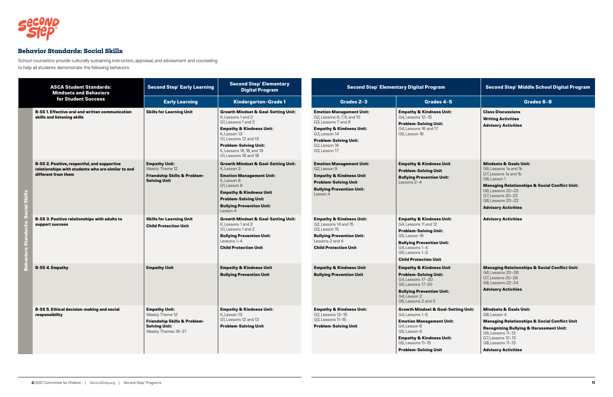

|                                              | <b>ASCA Student Standards:</b><br><b>Mindsets and Behaviors</b>                                                                                                                                             | <b>Second Step® Early Learning</b>                                                                                                                                | <b>Second Step® Elementary</b><br><b>Digital Program</b>                                                                                                                                                                                                                                                                                                                                                                               | <b>Second Step® Elementary Digital Program</b>                                                                                                                                                                                                                                                                                               |                                                                                                                                                                                                                                                                                                                 | <b>Second Step® Middle School Digital Program</b>                                                                                                                                                                                                                                           |
|----------------------------------------------|-------------------------------------------------------------------------------------------------------------------------------------------------------------------------------------------------------------|-------------------------------------------------------------------------------------------------------------------------------------------------------------------|----------------------------------------------------------------------------------------------------------------------------------------------------------------------------------------------------------------------------------------------------------------------------------------------------------------------------------------------------------------------------------------------------------------------------------------|----------------------------------------------------------------------------------------------------------------------------------------------------------------------------------------------------------------------------------------------------------------------------------------------------------------------------------------------|-----------------------------------------------------------------------------------------------------------------------------------------------------------------------------------------------------------------------------------------------------------------------------------------------------------------|---------------------------------------------------------------------------------------------------------------------------------------------------------------------------------------------------------------------------------------------------------------------------------------------|
| for Student Success                          | <b>Early Learning</b>                                                                                                                                                                                       | Kindergarten-Grade 1                                                                                                                                              | Grades 2-3                                                                                                                                                                                                                                                                                                                                                                                                                             | Grades 4-5                                                                                                                                                                                                                                                                                                                                   | Grades 6-8                                                                                                                                                                                                                                                                                                      |                                                                                                                                                                                                                                                                                             |
|                                              | <b>B-SS 1. Effective oral and written communication</b><br>skills and listening skills                                                                                                                      | <b>Skills for Learning Unit</b>                                                                                                                                   | <b>Growth Mindset &amp; Goal-Setting Unit:</b><br>K, Lessons 1 and 2<br>G1, Lessons 1 and 2<br><b>Empathy &amp; Kindness Unit:</b><br>K, Lesson 13<br>G1, Lessons 12 and 13<br><b>Problem-Solving Unit:</b><br>K, Lessons 16, 18, and 19<br>G1, Lessons 16 and 18                                                                                                                                                                      | <b>Emotion Management Unit:</b><br>G2, Lessons 6, 7, 9, and 10<br>G3, Lessons 7 and 9<br><b>Empathy &amp; Kindness Unit:</b><br>G3, Lesson 14<br><b>Problem-Solving Unit:</b><br>G2, Lesson 16<br>G3, Lesson 17                                                                                                                              | <b>Empathy &amp; Kindness Unit:</b><br>G4, Lessons 12-15<br><b>Problem-Solving Unit:</b><br>G4, Lessons 16 and 17<br>G5, Lesson 16                                                                                                                                                                              | <b>Class Discussions</b><br><b>Writing Activities</b><br><b>Advisory Activities</b>                                                                                                                                                                                                         |
| ocial Skills<br><b>Stand</b><br><b>Niors</b> | <b>B-SS 2. Positive, respectful, and supportive</b><br>relationships with students who are similar to and<br>different from them<br><b>B-SS 3. Positive relationships with adults to</b><br>support success | <b>Empathy Unit:</b><br>Weekly Theme 12<br>Friendship Skills & Problem-<br><b>Solving Unit</b><br><b>Skills for Learning Unit</b><br><b>Child Protection Unit</b> | <b>Growth Mindset &amp; Goal-Setting Unit:</b><br>K, Lesson 3<br><b>Emotion Management Unit:</b><br>K, Lesson 6<br>G1, Lesson 6<br><b>Empathy &amp; Kindness Unit</b><br><b>Problem-Solving Unit</b><br><b>Bullying Prevention Unit:</b><br>Lesson 4<br><b>Growth Mindset &amp; Goal-Setting Unit:</b><br>K. Lessons 1 and 2<br>G1, Lessons 1 and 2<br><b>Bullying Prevention Unit:</b><br>Lessons 1-4<br><b>Child Protection Unit</b> | <b>Emotion Management Unit:</b><br>G2, Lesson 9<br><b>Empathy &amp; Kindness Unit</b><br><b>Problem-Solving Unit</b><br><b>Bullying Prevention Unit:</b><br>Lesson 4<br><b>Empathy &amp; Kindness Unit:</b><br>G2, Lessons 14 and 15<br>G3, Lesson 15<br><b>Bullying Prevention Unit:</b><br>Lessons 2 and 4<br><b>Child Protection Unit</b> | <b>Empathy &amp; Kindness Unit</b><br><b>Problem-Solving Unit</b><br><b>Bullying Prevention Unit:</b><br>Lessons 2-4<br><b>Empathy &amp; Kindness Unit:</b><br>G4, Lessons 11 and 12<br><b>Problem-Solving Unit:</b><br>G5, Lesson 16<br><b>Bullying Prevention Unit:</b><br>G4, Lessons 1-4<br>G5, Lessons 1-3 | <b>Mindsets &amp; Goals Unit:</b><br>G6. Lessons 1a and 1b<br>G7, Lessons 1a and 1b<br>G8, Lesson 1<br><b>Managing Relationships &amp; Social Conflict Unit:</b><br>G6, Lessons 20-22<br>G7, Lessons 20-22<br>G8, Lessons 20-22<br><b>Advisory Activities</b><br><b>Advisory Activities</b> |
|                                              | <b>B-SS 4. Empathy</b>                                                                                                                                                                                      | <b>Empathy Unit</b>                                                                                                                                               | <b>Empathy &amp; Kindness Unit</b><br><b>Bullying Prevention Unit</b>                                                                                                                                                                                                                                                                                                                                                                  | <b>Empathy &amp; Kindness Unit</b><br><b>Bullying Prevention Unit</b>                                                                                                                                                                                                                                                                        | <b>Child Protection Unit</b><br><b>Empathy &amp; Kindness Unit</b><br><b>Problem-Solving Unit:</b><br>G4, Lessons 17-20<br>G5, Lessons 17-20<br><b>Bullying Prevention Unit:</b><br>G4, Lesson 2<br>G5, Lessons 2 and 3                                                                                         | <b>Managing Relationships &amp; Social Conflict Unit:</b><br>G6. Lessons 20-26<br>G7, Lessons 20-26<br>G8, Lessons 22-24<br><b>Advisory Activities</b>                                                                                                                                      |
|                                              | <b>B-SS 5. Ethical decision-making and social</b><br>responsibility                                                                                                                                         | <b>Empathy Unit:</b><br>Weekly Theme 12<br>Friendship Skills & Problem-<br><b>Solving Unit:</b><br>Weekly Themes 19-21                                            | <b>Empathy &amp; Kindness Unit:</b><br>K, Lesson 13<br>G1, Lessons 12 and 13<br><b>Problem-Solving Unit</b>                                                                                                                                                                                                                                                                                                                            | <b>Empathy &amp; Kindness Unit:</b><br>G2, Lessons 13-15<br>G3, Lessons 11-15<br><b>Problem-Solving Unit</b>                                                                                                                                                                                                                                 | <b>Growth Mindset &amp; Goal-Setting Unit:</b><br>G4, Lessons 1-5<br><b>Emotion Management Unit:</b><br>G4, Lesson 6<br>G5, Lesson 6<br><b>Empathy &amp; Kindness Unit:</b><br>G5, Lessons 11-15<br><b>Problem-Solving Unit</b>                                                                                 | <b>Mindsets &amp; Goals Unit:</b><br>G8, Lesson 4<br><b>Managing Relationships &amp; Social Conflict Unit</b><br><b>Recognizing Bullying &amp; Harassment Unit:</b><br>G6. Lessons 11-13<br>G7, Lessons 12-13<br>G8, Lessons 11-13<br><b>Advisory Activities</b>                            |

|                     | <b>Second Step® Middle School Digital Program</b>                                                                                                                                                                                                             |
|---------------------|---------------------------------------------------------------------------------------------------------------------------------------------------------------------------------------------------------------------------------------------------------------|
| 5                   | Grades 6-8                                                                                                                                                                                                                                                    |
| ÷                   | <b>Class Discussions</b><br><b>Writing Activities</b><br><b>Advisory Activities</b>                                                                                                                                                                           |
|                     | <b>Mindsets &amp; Goals Unit:</b><br>G6, Lessons 1a and 1b<br>G7, Lessons 1a and 1b<br>G8, Lesson 1<br><b>Managing Relationships &amp; Social Conflict Unit:</b><br>G6, Lessons 20-22<br>G7, Lessons 20-22<br>G8, Lessons 20-22<br><b>Advisory Activities</b> |
| ÷                   | <b>Advisory Activities</b>                                                                                                                                                                                                                                    |
|                     | <b>Managing Relationships &amp; Social Conflict Unit:</b><br>G6, Lessons 20-26<br>G7, Lessons 20-26<br>G8, Lessons 22-24<br><b>Advisory Activities</b>                                                                                                        |
| etting Unit:<br>it. | <b>Mindsets &amp; Goals Unit:</b><br>G8, Lesson 4<br><b>Managing Relationships &amp; Social Conflict Unit</b><br><b>Recognizing Bullying &amp; Harassment Unit:</b><br>G6, Lessons 11-13                                                                      |
| ÷                   | G7, Lessons 12-13<br>G8, Lessons 11-13<br><b>Advisory Activities</b>                                                                                                                                                                                          |

### **Behavior Standards: Social Skills**

School counselors provide culturally sustaining instruction, appraisal, and advisement and counseling to help all students demonstrate the following behaviors.